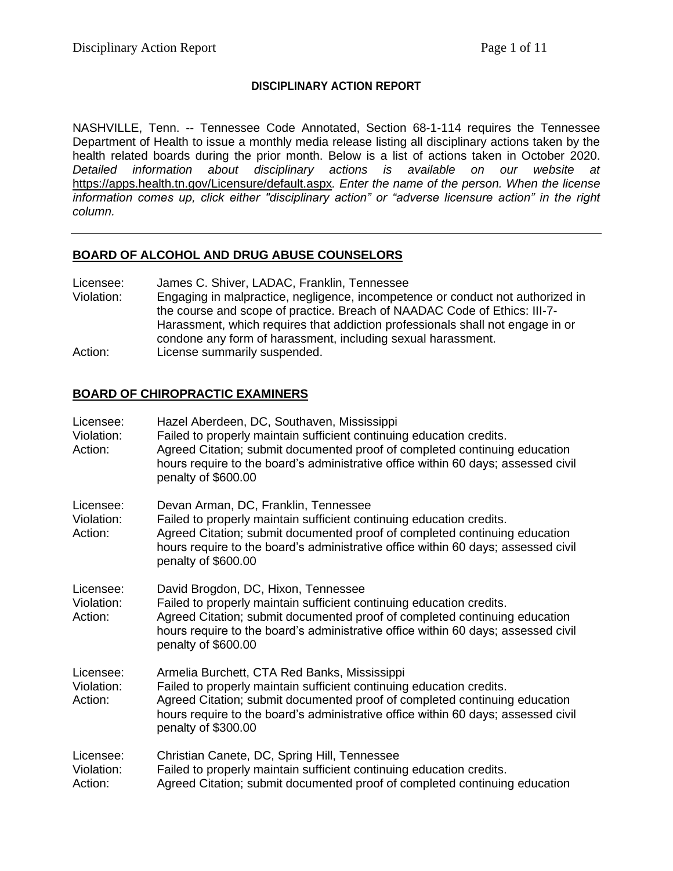## **DISCIPLINARY ACTION REPORT**

NASHVILLE, Tenn. -- Tennessee Code Annotated, Section 68-1-114 requires the Tennessee Department of Health to issue a monthly media release listing all disciplinary actions taken by the health related boards during the prior month. Below is a list of actions taken in October 2020. *Detailed information about disciplinary actions is available on our website at*  <https://apps.health.tn.gov/Licensure/default.aspx>*. Enter the name of the person. When the license information comes up, click either "disciplinary action" or "adverse licensure action" in the right column.*

#### **BOARD OF ALCOHOL AND DRUG ABUSE COUNSELORS**

- Licensee: James C. Shiver, LADAC, Franklin, Tennessee
- Violation: Engaging in malpractice, negligence, incompetence or conduct not authorized in the course and scope of practice. Breach of NAADAC Code of Ethics: III-7- Harassment, which requires that addiction professionals shall not engage in or condone any form of harassment, including sexual harassment. Action: License summarily suspended.

#### **BOARD OF CHIROPRACTIC EXAMINERS**

| Licensee:<br>Violation:<br>Action: | Hazel Aberdeen, DC, Southaven, Mississippi<br>Failed to properly maintain sufficient continuing education credits.<br>Agreed Citation; submit documented proof of completed continuing education<br>hours require to the board's administrative office within 60 days; assessed civil<br>penalty of \$600.00   |
|------------------------------------|----------------------------------------------------------------------------------------------------------------------------------------------------------------------------------------------------------------------------------------------------------------------------------------------------------------|
| Licensee:<br>Violation:<br>Action: | Devan Arman, DC, Franklin, Tennessee<br>Failed to properly maintain sufficient continuing education credits.<br>Agreed Citation; submit documented proof of completed continuing education<br>hours require to the board's administrative office within 60 days; assessed civil<br>penalty of \$600.00         |
| Licensee:<br>Violation:<br>Action: | David Brogdon, DC, Hixon, Tennessee<br>Failed to properly maintain sufficient continuing education credits.<br>Agreed Citation; submit documented proof of completed continuing education<br>hours require to the board's administrative office within 60 days; assessed civil<br>penalty of \$600.00          |
| Licensee:<br>Violation:<br>Action: | Armelia Burchett, CTA Red Banks, Mississippi<br>Failed to properly maintain sufficient continuing education credits.<br>Agreed Citation; submit documented proof of completed continuing education<br>hours require to the board's administrative office within 60 days; assessed civil<br>penalty of \$300.00 |
| Licensee:<br>Violation:<br>Action: | Christian Canete, DC, Spring Hill, Tennessee<br>Failed to properly maintain sufficient continuing education credits.<br>Agreed Citation; submit documented proof of completed continuing education                                                                                                             |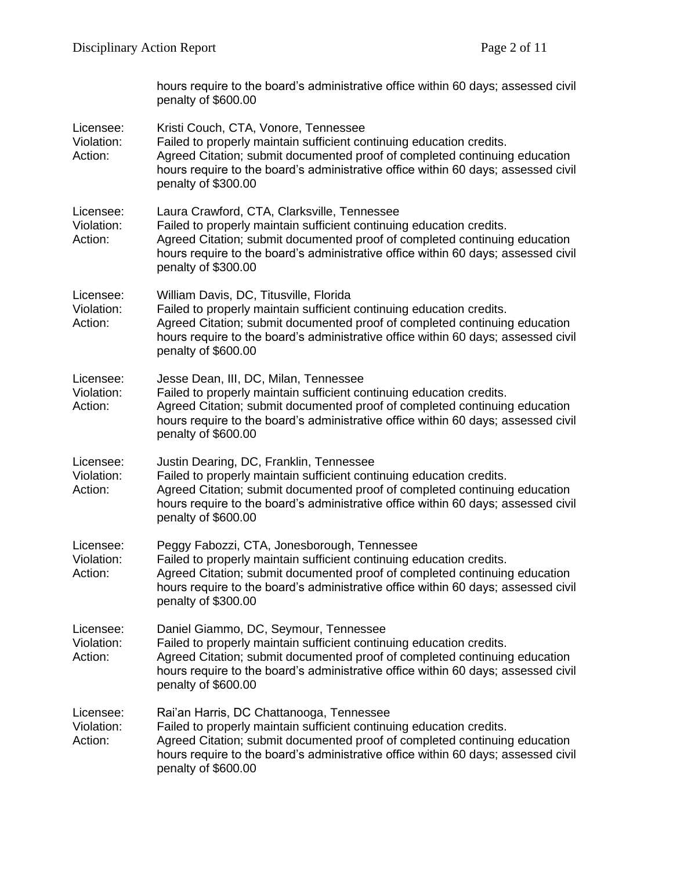|                                    | hours require to the board's administrative office within 60 days; assessed civil<br>penalty of \$600.00                                                                                                                                                                                                      |
|------------------------------------|---------------------------------------------------------------------------------------------------------------------------------------------------------------------------------------------------------------------------------------------------------------------------------------------------------------|
| Licensee:<br>Violation:<br>Action: | Kristi Couch, CTA, Vonore, Tennessee<br>Failed to properly maintain sufficient continuing education credits.<br>Agreed Citation; submit documented proof of completed continuing education<br>hours require to the board's administrative office within 60 days; assessed civil<br>penalty of \$300.00        |
| Licensee:<br>Violation:<br>Action: | Laura Crawford, CTA, Clarksville, Tennessee<br>Failed to properly maintain sufficient continuing education credits.<br>Agreed Citation; submit documented proof of completed continuing education<br>hours require to the board's administrative office within 60 days; assessed civil<br>penalty of \$300.00 |
| Licensee:<br>Violation:<br>Action: | William Davis, DC, Titusville, Florida<br>Failed to properly maintain sufficient continuing education credits.<br>Agreed Citation; submit documented proof of completed continuing education<br>hours require to the board's administrative office within 60 days; assessed civil<br>penalty of \$600.00      |
| Licensee:<br>Violation:<br>Action: | Jesse Dean, III, DC, Milan, Tennessee<br>Failed to properly maintain sufficient continuing education credits.<br>Agreed Citation; submit documented proof of completed continuing education<br>hours require to the board's administrative office within 60 days; assessed civil<br>penalty of \$600.00       |
| Licensee:<br>Violation:<br>Action: | Justin Dearing, DC, Franklin, Tennessee<br>Failed to properly maintain sufficient continuing education credits.<br>Agreed Citation; submit documented proof of completed continuing education<br>hours require to the board's administrative office within 60 days; assessed civil<br>penalty of \$600.00     |
| Licensee:<br>Violation:<br>Action: | Peggy Fabozzi, CTA, Jonesborough, Tennessee<br>Failed to properly maintain sufficient continuing education credits.<br>Agreed Citation; submit documented proof of completed continuing education<br>hours require to the board's administrative office within 60 days; assessed civil<br>penalty of \$300.00 |
| Licensee:<br>Violation:<br>Action: | Daniel Giammo, DC, Seymour, Tennessee<br>Failed to properly maintain sufficient continuing education credits.<br>Agreed Citation; submit documented proof of completed continuing education<br>hours require to the board's administrative office within 60 days; assessed civil<br>penalty of \$600.00       |
| Licensee:<br>Violation:<br>Action: | Rai'an Harris, DC Chattanooga, Tennessee<br>Failed to properly maintain sufficient continuing education credits.<br>Agreed Citation; submit documented proof of completed continuing education<br>hours require to the board's administrative office within 60 days; assessed civil<br>penalty of \$600.00    |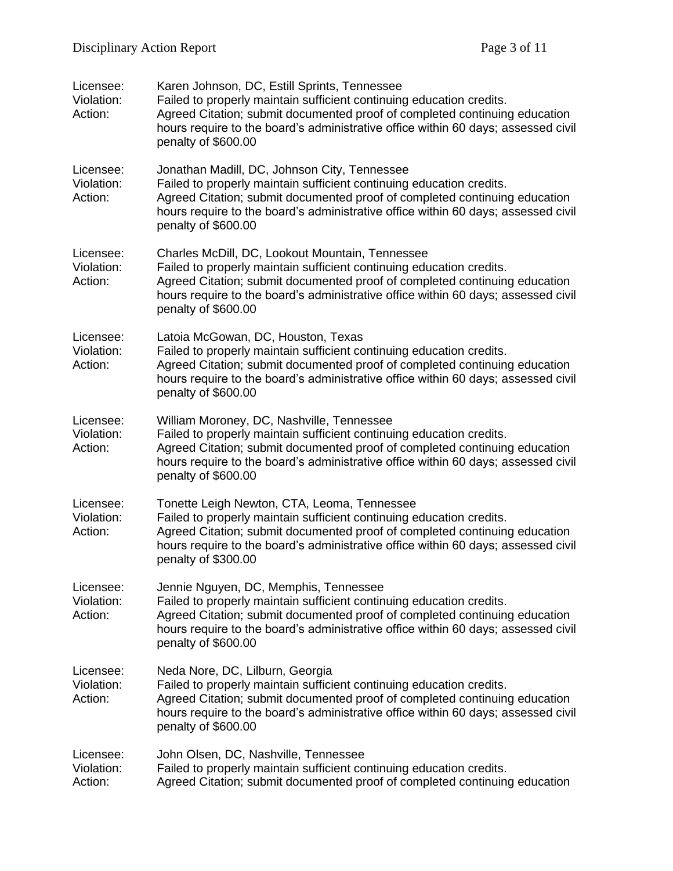| Licensee:<br>Violation:<br>Action: | Karen Johnson, DC, Estill Sprints, Tennessee<br>Failed to properly maintain sufficient continuing education credits.<br>Agreed Citation; submit documented proof of completed continuing education<br>hours require to the board's administrative office within 60 days; assessed civil<br>penalty of \$600.00    |
|------------------------------------|-------------------------------------------------------------------------------------------------------------------------------------------------------------------------------------------------------------------------------------------------------------------------------------------------------------------|
| Licensee:<br>Violation:<br>Action: | Jonathan Madill, DC, Johnson City, Tennessee<br>Failed to properly maintain sufficient continuing education credits.<br>Agreed Citation; submit documented proof of completed continuing education<br>hours require to the board's administrative office within 60 days; assessed civil<br>penalty of \$600.00    |
| Licensee:<br>Violation:<br>Action: | Charles McDill, DC, Lookout Mountain, Tennessee<br>Failed to properly maintain sufficient continuing education credits.<br>Agreed Citation; submit documented proof of completed continuing education<br>hours require to the board's administrative office within 60 days; assessed civil<br>penalty of \$600.00 |
| Licensee:<br>Violation:<br>Action: | Latoia McGowan, DC, Houston, Texas<br>Failed to properly maintain sufficient continuing education credits.<br>Agreed Citation; submit documented proof of completed continuing education<br>hours require to the board's administrative office within 60 days; assessed civil<br>penalty of \$600.00              |
| Licensee:<br>Violation:<br>Action: | William Moroney, DC, Nashville, Tennessee<br>Failed to properly maintain sufficient continuing education credits.<br>Agreed Citation; submit documented proof of completed continuing education<br>hours require to the board's administrative office within 60 days; assessed civil<br>penalty of \$600.00       |
| Licensee:<br>Violation:<br>Action: | Tonette Leigh Newton, CTA, Leoma, Tennessee<br>Failed to properly maintain sufficient continuing education credits.<br>Agreed Citation; submit documented proof of completed continuing education<br>hours require to the board's administrative office within 60 days; assessed civil<br>penalty of \$300.00     |
| Licensee:<br>Violation:<br>Action: | Jennie Nguyen, DC, Memphis, Tennessee<br>Failed to properly maintain sufficient continuing education credits.<br>Agreed Citation; submit documented proof of completed continuing education<br>hours require to the board's administrative office within 60 days; assessed civil<br>penalty of \$600.00           |
| Licensee:<br>Violation:<br>Action: | Neda Nore, DC, Lilburn, Georgia<br>Failed to properly maintain sufficient continuing education credits.<br>Agreed Citation; submit documented proof of completed continuing education<br>hours require to the board's administrative office within 60 days; assessed civil<br>penalty of \$600.00                 |
| Licensee:<br>Violation:<br>Action: | John Olsen, DC, Nashville, Tennessee<br>Failed to properly maintain sufficient continuing education credits.<br>Agreed Citation; submit documented proof of completed continuing education                                                                                                                        |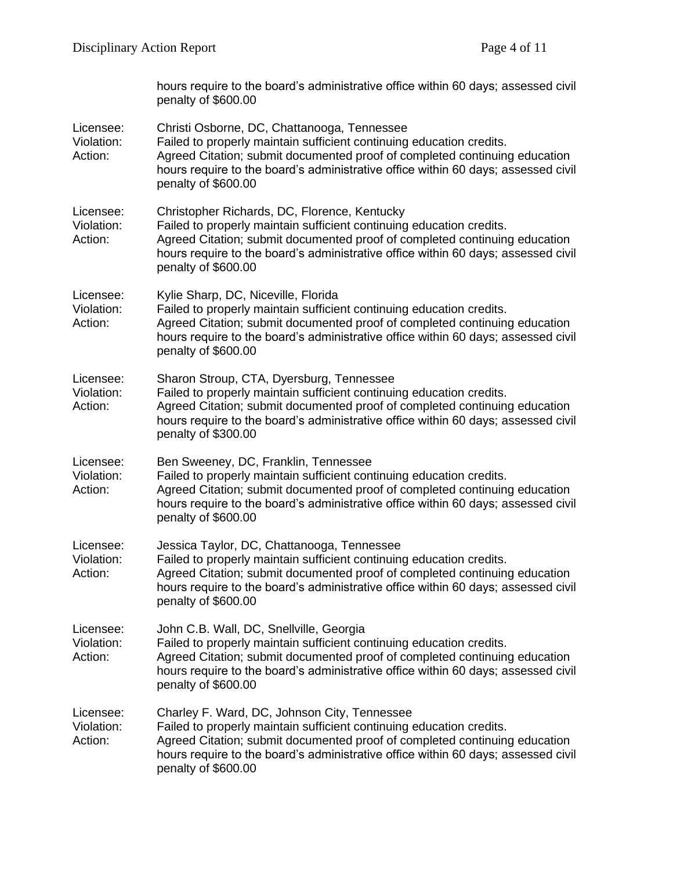|                                    | hours require to the board's administrative office within 60 days; assessed civil<br>penalty of \$600.00                                                                                                                                                                                                       |
|------------------------------------|----------------------------------------------------------------------------------------------------------------------------------------------------------------------------------------------------------------------------------------------------------------------------------------------------------------|
| Licensee:<br>Violation:<br>Action: | Christi Osborne, DC, Chattanooga, Tennessee<br>Failed to properly maintain sufficient continuing education credits.<br>Agreed Citation; submit documented proof of completed continuing education<br>hours require to the board's administrative office within 60 days; assessed civil<br>penalty of \$600.00  |
| Licensee:<br>Violation:<br>Action: | Christopher Richards, DC, Florence, Kentucky<br>Failed to properly maintain sufficient continuing education credits.<br>Agreed Citation; submit documented proof of completed continuing education<br>hours require to the board's administrative office within 60 days; assessed civil<br>penalty of \$600.00 |
| Licensee:<br>Violation:<br>Action: | Kylie Sharp, DC, Niceville, Florida<br>Failed to properly maintain sufficient continuing education credits.<br>Agreed Citation; submit documented proof of completed continuing education<br>hours require to the board's administrative office within 60 days; assessed civil<br>penalty of \$600.00          |
| Licensee:<br>Violation:<br>Action: | Sharon Stroup, CTA, Dyersburg, Tennessee<br>Failed to properly maintain sufficient continuing education credits.<br>Agreed Citation; submit documented proof of completed continuing education<br>hours require to the board's administrative office within 60 days; assessed civil<br>penalty of \$300.00     |
| Licensee:<br>Violation:<br>Action: | Ben Sweeney, DC, Franklin, Tennessee<br>Failed to properly maintain sufficient continuing education credits.<br>Agreed Citation; submit documented proof of completed continuing education<br>hours require to the board's administrative office within 60 days; assessed civil<br>penalty of \$600.00         |
| Licensee:<br>Violation:<br>Action: | Jessica Taylor, DC, Chattanooga, Tennessee<br>Failed to properly maintain sufficient continuing education credits.<br>Agreed Citation; submit documented proof of completed continuing education<br>hours require to the board's administrative office within 60 days; assessed civil<br>penalty of \$600.00   |
| Licensee:<br>Violation:<br>Action: | John C.B. Wall, DC, Snellville, Georgia<br>Failed to properly maintain sufficient continuing education credits.<br>Agreed Citation; submit documented proof of completed continuing education<br>hours require to the board's administrative office within 60 days; assessed civil<br>penalty of \$600.00      |
| Licensee:<br>Violation:<br>Action: | Charley F. Ward, DC, Johnson City, Tennessee<br>Failed to properly maintain sufficient continuing education credits.<br>Agreed Citation; submit documented proof of completed continuing education<br>hours require to the board's administrative office within 60 days; assessed civil<br>penalty of \$600.00 |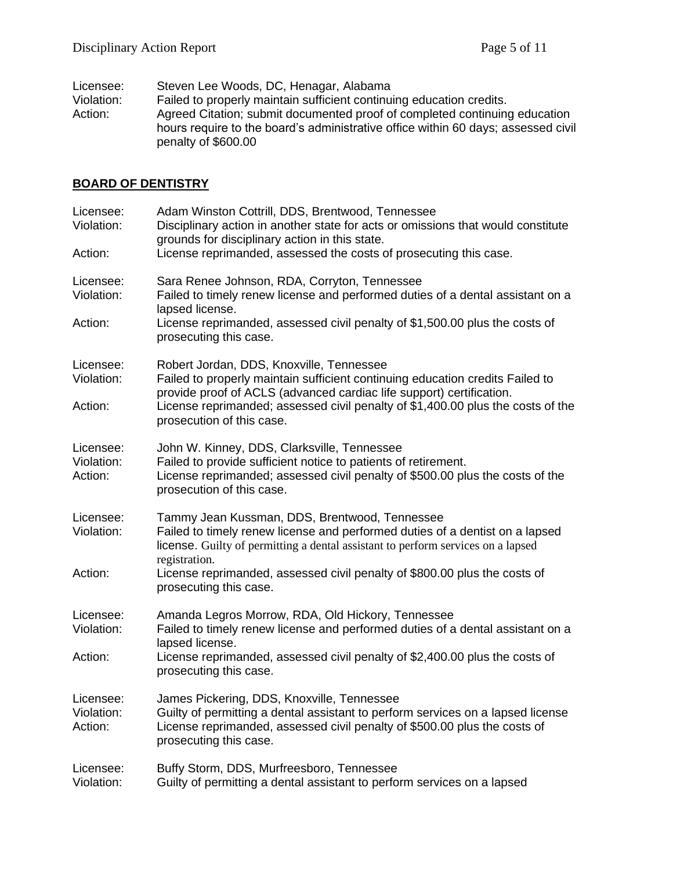| Licensee:  | Steven Lee Woods, DC, Henagar, Alabama                                            |
|------------|-----------------------------------------------------------------------------------|
| Violation: | Failed to properly maintain sufficient continuing education credits.              |
| Action:    | Agreed Citation; submit documented proof of completed continuing education        |
|            | hours require to the board's administrative office within 60 days; assessed civil |
|            | penalty of \$600.00                                                               |

# **BOARD OF DENTISTRY**

| Licensee:<br>Violation:<br>Action: | Adam Winston Cottrill, DDS, Brentwood, Tennessee<br>Disciplinary action in another state for acts or omissions that would constitute<br>grounds for disciplinary action in this state.<br>License reprimanded, assessed the costs of prosecuting this case.                                                                               |
|------------------------------------|-------------------------------------------------------------------------------------------------------------------------------------------------------------------------------------------------------------------------------------------------------------------------------------------------------------------------------------------|
| Licensee:<br>Violation:<br>Action: | Sara Renee Johnson, RDA, Corryton, Tennessee<br>Failed to timely renew license and performed duties of a dental assistant on a<br>lapsed license.<br>License reprimanded, assessed civil penalty of \$1,500.00 plus the costs of<br>prosecuting this case.                                                                                |
| Licensee:<br>Violation:<br>Action: | Robert Jordan, DDS, Knoxville, Tennessee<br>Failed to properly maintain sufficient continuing education credits Failed to<br>provide proof of ACLS (advanced cardiac life support) certification.<br>License reprimanded; assessed civil penalty of \$1,400.00 plus the costs of the<br>prosecution of this case.                         |
| Licensee:<br>Violation:<br>Action: | John W. Kinney, DDS, Clarksville, Tennessee<br>Failed to provide sufficient notice to patients of retirement.<br>License reprimanded; assessed civil penalty of \$500.00 plus the costs of the<br>prosecution of this case.                                                                                                               |
| Licensee:<br>Violation:<br>Action: | Tammy Jean Kussman, DDS, Brentwood, Tennessee<br>Failed to timely renew license and performed duties of a dentist on a lapsed<br>license. Guilty of permitting a dental assistant to perform services on a lapsed<br>registration.<br>License reprimanded, assessed civil penalty of \$800.00 plus the costs of<br>prosecuting this case. |
| Licensee:<br>Violation:<br>Action: | Amanda Legros Morrow, RDA, Old Hickory, Tennessee<br>Failed to timely renew license and performed duties of a dental assistant on a<br>lapsed license.<br>License reprimanded, assessed civil penalty of \$2,400.00 plus the costs of<br>prosecuting this case.                                                                           |
| Licensee:<br>Violation:<br>Action: | James Pickering, DDS, Knoxville, Tennessee<br>Guilty of permitting a dental assistant to perform services on a lapsed license<br>License reprimanded, assessed civil penalty of \$500.00 plus the costs of<br>prosecuting this case.                                                                                                      |
| Licensee:<br>Violation:            | Buffy Storm, DDS, Murfreesboro, Tennessee<br>Guilty of permitting a dental assistant to perform services on a lapsed                                                                                                                                                                                                                      |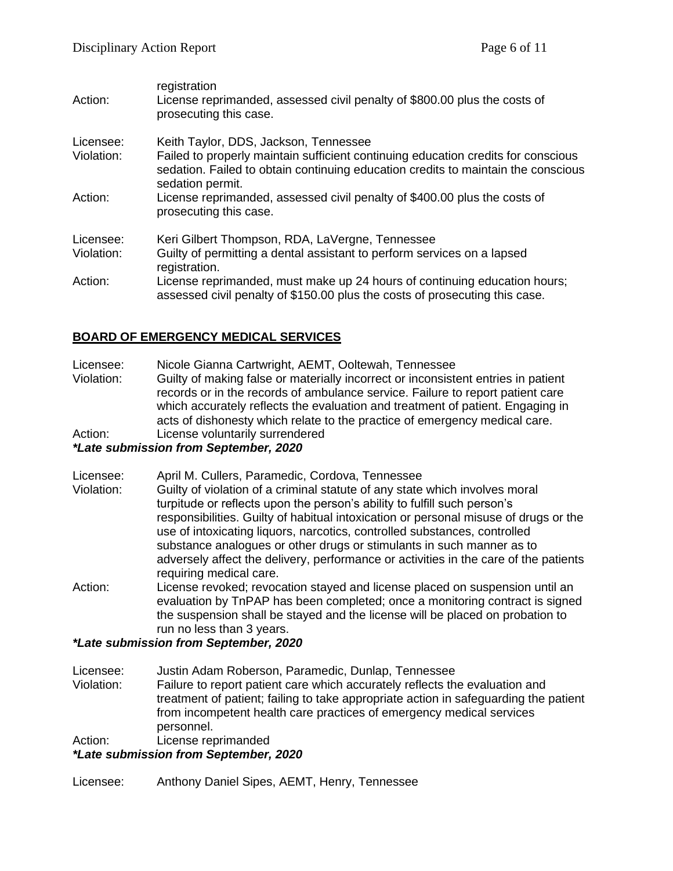| Action:                 | registration<br>License reprimanded, assessed civil penalty of \$800.00 plus the costs of<br>prosecuting this case.                                                                                                                 |
|-------------------------|-------------------------------------------------------------------------------------------------------------------------------------------------------------------------------------------------------------------------------------|
| Licensee:<br>Violation: | Keith Taylor, DDS, Jackson, Tennessee<br>Failed to properly maintain sufficient continuing education credits for conscious<br>sedation. Failed to obtain continuing education credits to maintain the conscious<br>sedation permit. |
| Action:                 | License reprimanded, assessed civil penalty of \$400.00 plus the costs of<br>prosecuting this case.                                                                                                                                 |
| Licensee:               | Keri Gilbert Thompson, RDA, LaVergne, Tennessee                                                                                                                                                                                     |
| Violation:              | Guilty of permitting a dental assistant to perform services on a lapsed<br>registration.                                                                                                                                            |
| Action:                 | License reprimanded, must make up 24 hours of continuing education hours;<br>assessed civil penalty of \$150.00 plus the costs of prosecuting this case.                                                                            |

## **BOARD OF EMERGENCY MEDICAL SERVICES**

Licensee: Nicole Gianna Cartwright, AEMT, Ooltewah, Tennessee

Violation: Guilty of making false or materially incorrect or inconsistent entries in patient records or in the records of ambulance service. Failure to report patient care which accurately reflects the evaluation and treatment of patient. Engaging in acts of dishonesty which relate to the practice of emergency medical care. Action: License voluntarily surrendered

#### *\*Late submission from September, 2020*

- Licensee: April M. Cullers, Paramedic, Cordova, Tennessee
- Violation: Guilty of violation of a criminal statute of any state which involves moral turpitude or reflects upon the person's ability to fulfill such person's responsibilities. Guilty of habitual intoxication or personal misuse of drugs or the use of intoxicating liquors, narcotics, controlled substances, controlled substance analogues or other drugs or stimulants in such manner as to adversely affect the delivery, performance or activities in the care of the patients requiring medical care.
- Action: License revoked; revocation stayed and license placed on suspension until an evaluation by TnPAP has been completed; once a monitoring contract is signed the suspension shall be stayed and the license will be placed on probation to run no less than 3 years.

#### *\*Late submission from September, 2020*

Licensee: Justin Adam Roberson, Paramedic, Dunlap, Tennessee

Violation: Failure to report patient care which accurately reflects the evaluation and treatment of patient; failing to take appropriate action in safeguarding the patient from incompetent health care practices of emergency medical services personnel. Action: License reprimanded

#### *\*Late submission from September, 2020*

Licensee: Anthony Daniel Sipes, AEMT, Henry, Tennessee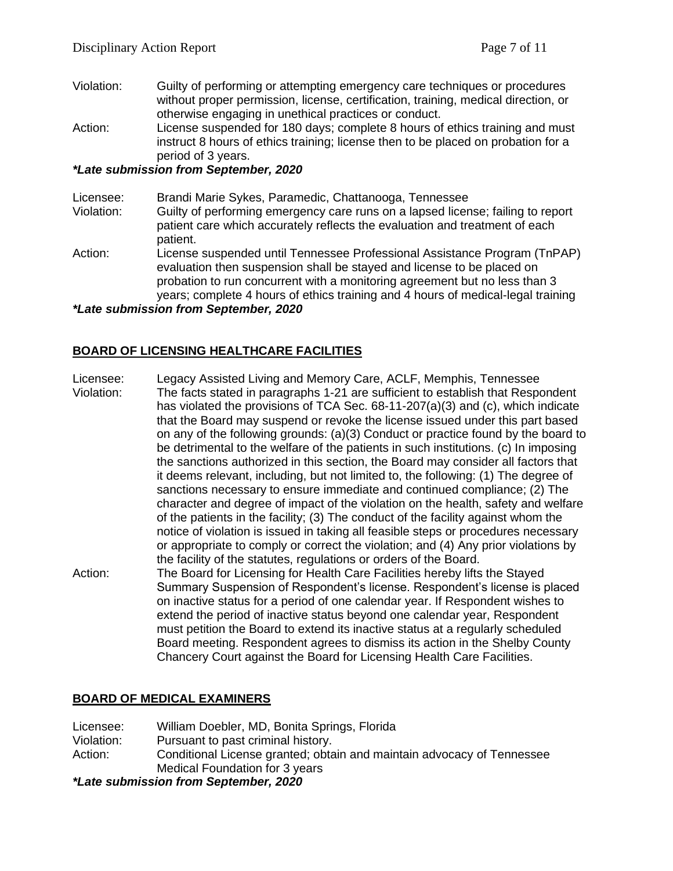- Violation: Guilty of performing or attempting emergency care techniques or procedures without proper permission, license, certification, training, medical direction, or otherwise engaging in unethical practices or conduct.
- Action: License suspended for 180 days; complete 8 hours of ethics training and must instruct 8 hours of ethics training; license then to be placed on probation for a period of 3 years.

## *\*Late submission from September, 2020*

- Licensee: Brandi Marie Sykes, Paramedic, Chattanooga, Tennessee
- Violation: Guilty of performing emergency care runs on a lapsed license; failing to report patient care which accurately reflects the evaluation and treatment of each patient.
- Action: License suspended until Tennessee Professional Assistance Program (TnPAP) evaluation then suspension shall be stayed and license to be placed on probation to run concurrent with a monitoring agreement but no less than 3 years; complete 4 hours of ethics training and 4 hours of medical-legal training

*\*Late submission from September, 2020*

## **BOARD OF LICENSING HEALTHCARE FACILITIES**

- Licensee: Legacy Assisted Living and Memory Care, ACLF, Memphis, Tennessee
- Violation: The facts stated in paragraphs 1-21 are sufficient to establish that Respondent has violated the provisions of TCA Sec. 68-11-207(a)(3) and (c), which indicate that the Board may suspend or revoke the license issued under this part based on any of the following grounds: (a)(3) Conduct or practice found by the board to be detrimental to the welfare of the patients in such institutions. (c) In imposing the sanctions authorized in this section, the Board may consider all factors that it deems relevant, including, but not limited to, the following: (1) The degree of sanctions necessary to ensure immediate and continued compliance; (2) The character and degree of impact of the violation on the health, safety and welfare of the patients in the facility; (3) The conduct of the facility against whom the notice of violation is issued in taking all feasible steps or procedures necessary or appropriate to comply or correct the violation; and (4) Any prior violations by the facility of the statutes, regulations or orders of the Board.
- Action: The Board for Licensing for Health Care Facilities hereby lifts the Stayed Summary Suspension of Respondent's license. Respondent's license is placed on inactive status for a period of one calendar year. If Respondent wishes to extend the period of inactive status beyond one calendar year, Respondent must petition the Board to extend its inactive status at a regularly scheduled Board meeting. Respondent agrees to dismiss its action in the Shelby County Chancery Court against the Board for Licensing Health Care Facilities.

## **BOARD OF MEDICAL EXAMINERS**

Licensee: William Doebler, MD, Bonita Springs, Florida Violation: Pursuant to past criminal history. Action: Conditional License granted; obtain and maintain advocacy of Tennessee Medical Foundation for 3 years

*\*Late submission from September, 2020*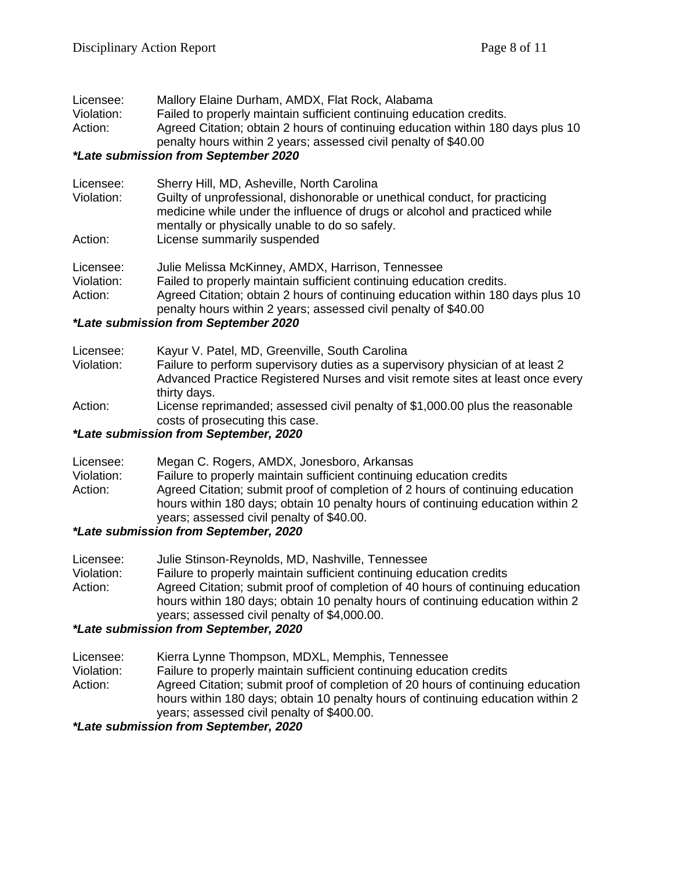Licensee: Mallory Elaine Durham, AMDX, Flat Rock, Alabama

Violation: Failed to properly maintain sufficient continuing education credits. Action: Agreed Citation; obtain 2 hours of continuing education within 180 days plus 10

penalty hours within 2 years; assessed civil penalty of \$40.00

#### *\*Late submission from September 2020*

| Licensee:<br>Violation: | Sherry Hill, MD, Asheville, North Carolina<br>Guilty of unprofessional, dishonorable or unethical conduct, for practicing<br>medicine while under the influence of drugs or alcohol and practiced while<br>mentally or physically unable to do so safely. |
|-------------------------|-----------------------------------------------------------------------------------------------------------------------------------------------------------------------------------------------------------------------------------------------------------|
| Action:                 | License summarily suspended                                                                                                                                                                                                                               |
| Licensee:               | Julie Melissa McKinney, AMDX, Harrison, Tennessee                                                                                                                                                                                                         |
| Violation:              | Failed to properly maintain sufficient continuing education credits.                                                                                                                                                                                      |
| Action:                 | Agreed Citation; obtain 2 hours of continuing education within 180 days plus 10                                                                                                                                                                           |

penalty hours within 2 years; assessed civil penalty of \$40.00

#### *\*Late submission from September 2020*

| Licensee:  | Kayur V. Patel, MD, Greenville, South Carolina                                                                   |
|------------|------------------------------------------------------------------------------------------------------------------|
| Violation: | Failure to perform supervisory duties as a supervisory physician of at least 2                                   |
|            | Advanced Practice Registered Nurses and visit remote sites at least once every<br>thirty days.                   |
| Action:    | License reprimanded; assessed civil penalty of \$1,000.00 plus the reasonable<br>costs of prosecuting this case. |

#### *\*Late submission from September, 2020*

| Licensee:  | Megan C. Rogers, AMDX, Jonesboro, Arkansas                                      |
|------------|---------------------------------------------------------------------------------|
| Violation: | Failure to properly maintain sufficient continuing education credits            |
| Action:    | Agreed Citation; submit proof of completion of 2 hours of continuing education  |
|            | hours within 180 days; obtain 10 penalty hours of continuing education within 2 |
|            | years; assessed civil penalty of \$40.00.                                       |
|            | *Late automianian frame Cantamber 0000                                          |

#### *\*Late submission from September, 2020*

| Licensee:  | Julie Stinson-Reynolds, MD, Nashville, Tennessee                                |
|------------|---------------------------------------------------------------------------------|
| Violation: | Failure to properly maintain sufficient continuing education credits            |
| Action:    | Agreed Citation; submit proof of completion of 40 hours of continuing education |
|            | hours within 180 days; obtain 10 penalty hours of continuing education within 2 |
|            | years; assessed civil penalty of \$4,000.00.                                    |

## *\*Late submission from September, 2020*

- Licensee: Kierra Lynne Thompson, MDXL, Memphis, Tennessee
- Violation: Failure to properly maintain sufficient continuing education credits Action: Agreed Citation; submit proof of completion of 20 hours of continuing education hours within 180 days; obtain 10 penalty hours of continuing education within 2 years; assessed civil penalty of \$400.00.

*\*Late submission from September, 2020*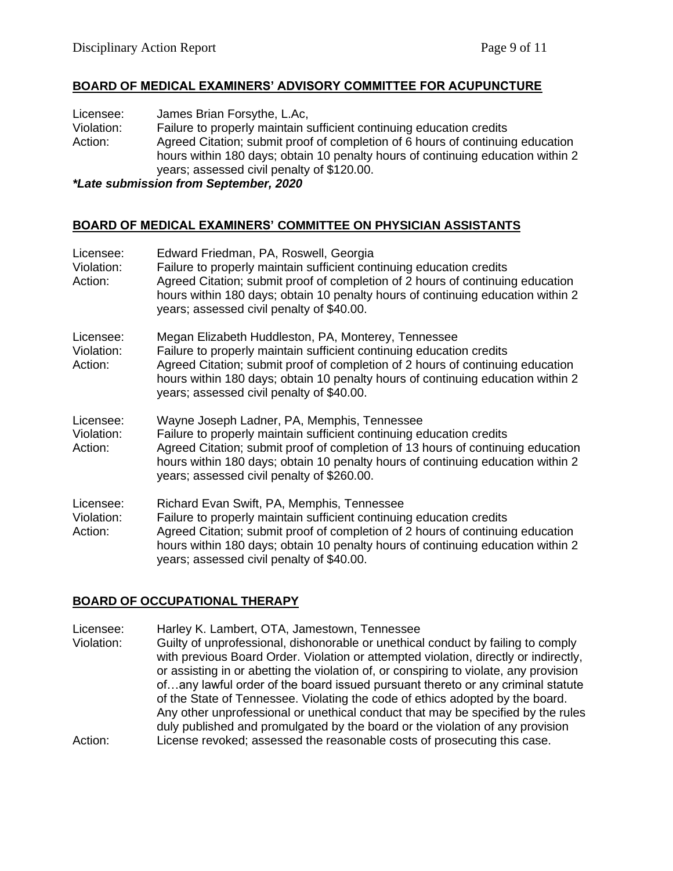#### **BOARD OF MEDICAL EXAMINERS' ADVISORY COMMITTEE FOR ACUPUNCTURE**

Licensee: James Brian Forsythe, L.Ac, Violation: Failure to properly maintain sufficient continuing education credits Action: Agreed Citation; submit proof of completion of 6 hours of continuing education hours within 180 days; obtain 10 penalty hours of continuing education within 2 years; assessed civil penalty of \$120.00.

*\*Late submission from September, 2020*

#### **BOARD OF MEDICAL EXAMINERS' COMMITTEE ON PHYSICIAN ASSISTANTS**

| Licensee:<br>Violation:<br>Action: | Edward Friedman, PA, Roswell, Georgia<br>Failure to properly maintain sufficient continuing education credits<br>Agreed Citation; submit proof of completion of 2 hours of continuing education<br>hours within 180 days; obtain 10 penalty hours of continuing education within 2<br>years; assessed civil penalty of \$40.00.               |
|------------------------------------|-----------------------------------------------------------------------------------------------------------------------------------------------------------------------------------------------------------------------------------------------------------------------------------------------------------------------------------------------|
| Licensee:<br>Violation:<br>Action: | Megan Elizabeth Huddleston, PA, Monterey, Tennessee<br>Failure to properly maintain sufficient continuing education credits<br>Agreed Citation; submit proof of completion of 2 hours of continuing education<br>hours within 180 days; obtain 10 penalty hours of continuing education within 2<br>years; assessed civil penalty of \$40.00. |
| Licensee:<br>Violation:<br>Action: | Wayne Joseph Ladner, PA, Memphis, Tennessee<br>Failure to properly maintain sufficient continuing education credits<br>Agreed Citation; submit proof of completion of 13 hours of continuing education<br>hours within 180 days; obtain 10 penalty hours of continuing education within 2<br>years; assessed civil penalty of \$260.00.       |
| Licensee:<br>Violation:<br>Action: | Richard Evan Swift, PA, Memphis, Tennessee<br>Failure to properly maintain sufficient continuing education credits<br>Agreed Citation; submit proof of completion of 2 hours of continuing education<br>hours within 180 days; obtain 10 penalty hours of continuing education within 2<br>years; assessed civil penalty of \$40.00.          |

## **BOARD OF OCCUPATIONAL THERAPY**

Licensee: Harley K. Lambert, OTA, Jamestown, Tennessee Violation: Guilty of unprofessional, dishonorable or unethical conduct by failing to comply with previous Board Order. Violation or attempted violation, directly or indirectly, or assisting in or abetting the violation of, or conspiring to violate, any provision of…any lawful order of the board issued pursuant thereto or any criminal statute of the State of Tennessee. Violating the code of ethics adopted by the board. Any other unprofessional or unethical conduct that may be specified by the rules duly published and promulgated by the board or the violation of any provision Action: License revoked; assessed the reasonable costs of prosecuting this case.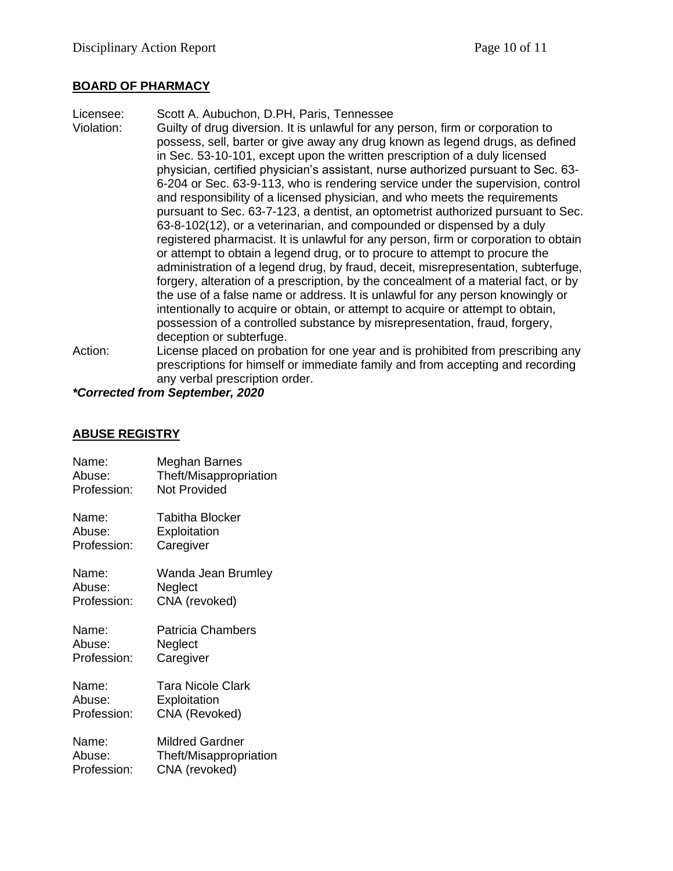#### **BOARD OF PHARMACY**

Licensee: Scott A. Aubuchon, D.PH, Paris, Tennessee Violation: Guilty of drug diversion. It is unlawful for any person, firm or corporation to possess, sell, barter or give away any drug known as legend drugs, as defined in Sec. 53-10-101, except upon the written prescription of a duly licensed physician, certified physician's assistant, nurse authorized pursuant to Sec. 63- 6-204 or Sec. 63-9-113, who is rendering service under the supervision, control and responsibility of a licensed physician, and who meets the requirements pursuant to Sec. 63-7-123, a dentist, an optometrist authorized pursuant to Sec. 63-8-102(12), or a veterinarian, and compounded or dispensed by a duly registered pharmacist. It is unlawful for any person, firm or corporation to obtain or attempt to obtain a legend drug, or to procure to attempt to procure the administration of a legend drug, by fraud, deceit, misrepresentation, subterfuge, forgery, alteration of a prescription, by the concealment of a material fact, or by the use of a false name or address. It is unlawful for any person knowingly or intentionally to acquire or obtain, or attempt to acquire or attempt to obtain, possession of a controlled substance by misrepresentation, fraud, forgery, deception or subterfuge. Action: License placed on probation for one year and is prohibited from prescribing any

prescriptions for himself or immediate family and from accepting and recording any verbal prescription order.

*\*Corrected from September, 2020*

#### **ABUSE REGISTRY**

| Name:       | Meghan Barnes            |
|-------------|--------------------------|
| Abuse:      | Theft/Misappropriation   |
| Profession: | <b>Not Provided</b>      |
| Name:       | Tabitha Blocker          |
| Abuse:      | Exploitation             |
| Profession: | Caregiver                |
| Name:       | Wanda Jean Brumley       |
| Abuse:      | Neglect                  |
| Profession: | CNA (revoked)            |
| Name:       | <b>Patricia Chambers</b> |
| Abuse:      | Neglect                  |
| Profession: | Caregiver                |
| Name:       | Tara Nicole Clark        |
| Abuse:      | Exploitation             |
| Profession: | CNA (Revoked)            |
| Name:       | <b>Mildred Gardner</b>   |
| Abuse:      | Theft/Misappropriation   |
| Profession: | CNA (revoked)            |